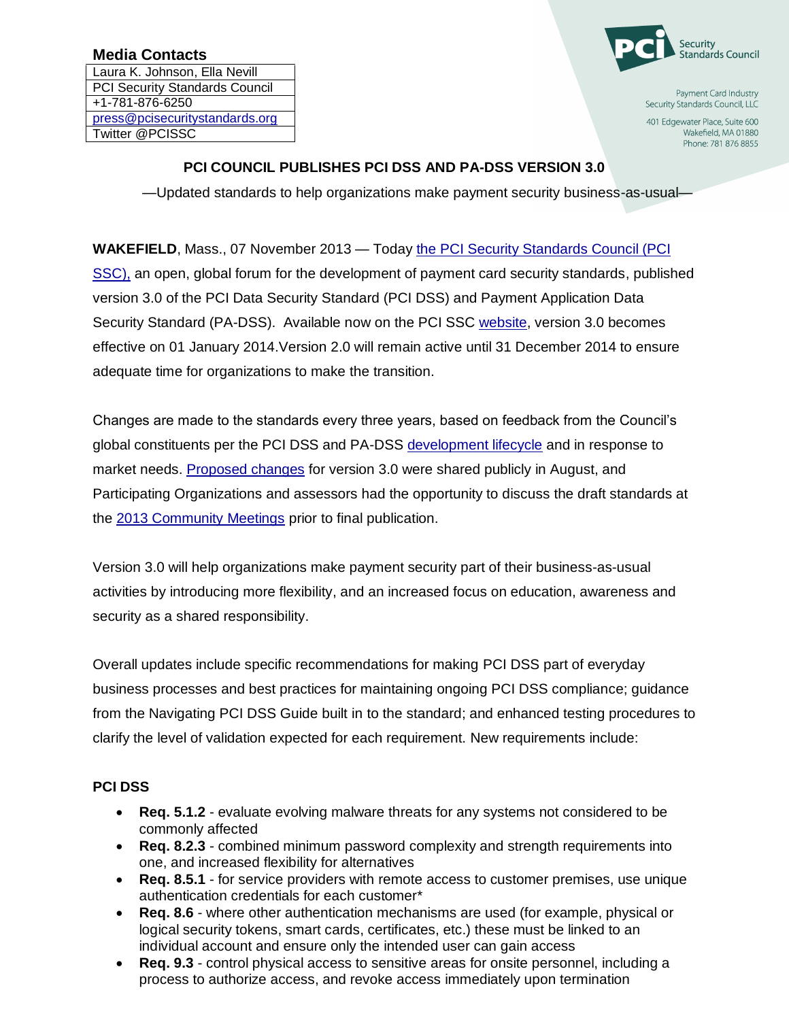# **Media Contacts**

Laura K. Johnson, Ella Nevill PCI Security Standards Council +1-781-876-6250 [press@pcisecuritystandards.org](mailto:press@pcisecuritystandards.org) Twitter @PCISSC



Payment Card Industry Security Standards Council, LLC

401 Edgewater Place, Suite 600 Wakefield, MA 01880 Phone: 781 876 8855

### **PCI COUNCIL PUBLISHES PCI DSS AND PA-DSS VERSION 3.0**

—Updated standards to help organizations make payment security business-as-usual—

**WAKEFIELD**, Mass., 07 November 2013 — Today [the PCI Security Standards Council \(PCI](https://www.pcisecuritystandards.org/index.php)  [SSC\),](https://www.pcisecuritystandards.org/index.php) an open, global forum for the development of payment card security standards, published version 3.0 of the PCI Data Security Standard (PCI DSS) and Payment Application Data Security Standard (PA-DSS). Available now on the PCI SSC [website,](https://www.pcisecuritystandards.org/security_standards/documents.php) version 3.0 becomes effective on 01 January 2014.Version 2.0 will remain active until 31 December 2014 to ensure adequate time for organizations to make the transition.

Changes are made to the standards every three years, based on feedback from the Council's global constituents per the PCI DSS and PA-DSS [development lifecycle](https://www.pcisecuritystandards.org/pdfs/pci_lifecycle_for_changes_to_dss_and_padss.pdf) and in response to market needs. [Proposed changes](https://www.pcisecuritystandards.org/documents/DSS_and_PA-DSS_Change_Highlights.pdf) for version 3.0 were shared publicly in August, and Participating Organizations and assessors had the opportunity to discuss the draft standards at the [2013 Community Meetings](https://www.pcisecuritystandards.org/communitymeeting/2013/) prior to final publication.

Version 3.0 will help organizations make payment security part of their business-as-usual activities by introducing more flexibility, and an increased focus on education, awareness and security as a shared responsibility.

Overall updates include specific recommendations for making PCI DSS part of everyday business processes and best practices for maintaining ongoing PCI DSS compliance; guidance from the Navigating PCI DSS Guide built in to the standard; and enhanced testing procedures to clarify the level of validation expected for each requirement. New requirements include:

# **PCI DSS**

- **Req. 5.1.2** evaluate evolving malware threats for any systems not considered to be commonly affected
- **Req. 8.2.3** combined minimum password complexity and strength requirements into one, and increased flexibility for alternatives
- **Req. 8.5.1** for service providers with remote access to customer premises, use unique authentication credentials for each customer\*
- **Req. 8.6** where other authentication mechanisms are used (for example, physical or logical security tokens, smart cards, certificates, etc.) these must be linked to an individual account and ensure only the intended user can gain access
- **Req. 9.3** control physical access to sensitive areas for onsite personnel, including a process to authorize access, and revoke access immediately upon termination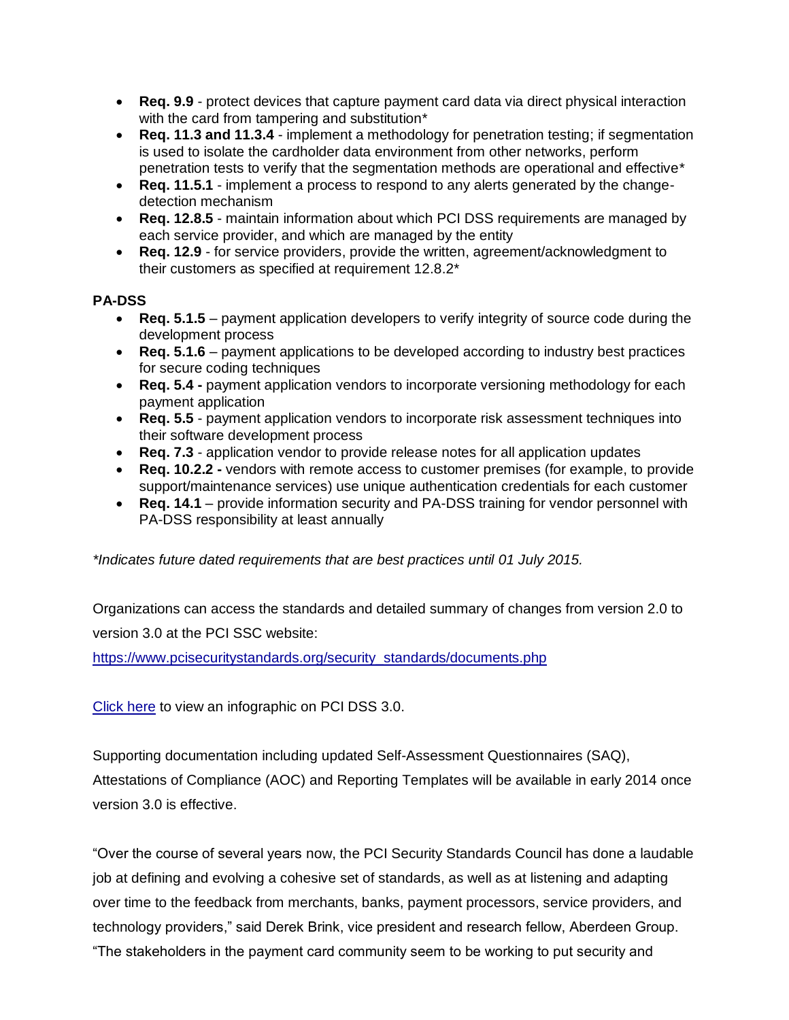- **Req. 9.9** protect devices that capture payment card data via direct physical interaction with the card from tampering and substitution<sup>\*</sup>
- **Req. 11.3 and 11.3.4** implement a methodology for penetration testing; if segmentation is used to isolate the cardholder data environment from other networks, perform penetration tests to verify that the segmentation methods are operational and effective\*
- **Req. 11.5.1** implement a process to respond to any alerts generated by the changedetection mechanism
- **Req. 12.8.5** maintain information about which PCI DSS requirements are managed by each service provider, and which are managed by the entity
- **Req. 12.9** for service providers, provide the written, agreement/acknowledgment to their customers as specified at requirement 12.8.2\*

### **PA-DSS**

- **Req. 5.1.5** payment application developers to verify integrity of source code during the development process
- **Req. 5.1.6** payment applications to be developed according to industry best practices for secure coding techniques
- **Req. 5.4 -** payment application vendors to incorporate versioning methodology for each payment application
- **Req. 5.5** payment application vendors to incorporate risk assessment techniques into their software development process
- **Req. 7.3** application vendor to provide release notes for all application updates
- **Req. 10.2.2 -** vendors with remote access to customer premises (for example, to provide support/maintenance services) use unique authentication credentials for each customer
- **Req. 14.1** provide information security and PA-DSS training for vendor personnel with PA-DSS responsibility at least annually

*\*Indicates future dated requirements that are best practices until 01 July 2015.*

Organizations can access the standards and detailed summary of changes from version 2.0 to version 3.0 at the PCI SSC website:

[https://www.pcisecuritystandards.org/security\\_standards/documents.php](https://www.pcisecuritystandards.org/security_standards/documents.php)

[Click here](https://www.pcisecuritystandards.org/pdfs/PCIDSS.pdf) to view an infographic on PCI DSS 3.0.

Supporting documentation including updated Self-Assessment Questionnaires (SAQ), Attestations of Compliance (AOC) and Reporting Templates will be available in early 2014 once version 3.0 is effective.

"Over the course of several years now, the PCI Security Standards Council has done a laudable job at defining and evolving a cohesive set of standards, as well as at listening and adapting over time to the feedback from merchants, banks, payment processors, service providers, and technology providers," said Derek Brink, vice president and research fellow, Aberdeen Group. "The stakeholders in the payment card community seem to be working to put security and